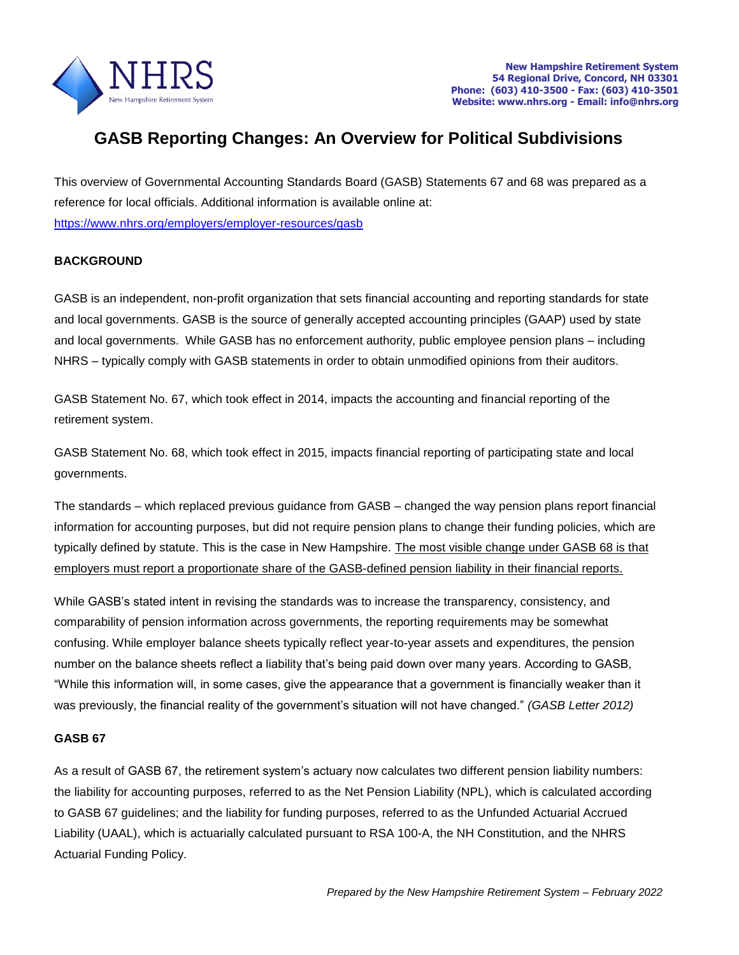

# **GASB Reporting Changes: An Overview for Political Subdivisions**

This overview of Governmental Accounting Standards Board (GASB) Statements 67 and 68 was prepared as a reference for local officials. Additional information is available online at: <https://www.nhrs.org/employers/employer-resources/gasb>

## **BACKGROUND**

GASB is an independent, non-profit organization that sets financial accounting and reporting standards for state and local governments. GASB is the source of generally accepted accounting principles (GAAP) used by state and local governments. While GASB has no enforcement authority, public employee pension plans – including NHRS – typically comply with GASB statements in order to obtain unmodified opinions from their auditors.

GASB Statement No. 67, which took effect in 2014, impacts the accounting and financial reporting of the retirement system.

GASB Statement No. 68, which took effect in 2015, impacts financial reporting of participating state and local governments.

The standards – which replaced previous guidance from GASB – changed the way pension plans report financial information for accounting purposes, but did not require pension plans to change their funding policies, which are typically defined by statute. This is the case in New Hampshire. The most visible change under GASB 68 is that employers must report a proportionate share of the GASB-defined pension liability in their financial reports.

While GASB's stated intent in revising the standards was to increase the transparency, consistency, and comparability of pension information across governments, the reporting requirements may be somewhat confusing. While employer balance sheets typically reflect year-to-year assets and expenditures, the pension number on the balance sheets reflect a liability that's being paid down over many years. According to GASB, "While this information will, in some cases, give the appearance that a government is financially weaker than it was previously, the financial reality of the government's situation will not have changed." *(GASB Letter 2012)*

## **GASB 67**

As a result of GASB 67, the retirement system's actuary now calculates two different pension liability numbers: the liability for accounting purposes, referred to as the Net Pension Liability (NPL), which is calculated according to GASB 67 guidelines; and the liability for funding purposes, referred to as the Unfunded Actuarial Accrued Liability (UAAL), which is actuarially calculated pursuant to RSA 100-A, the NH Constitution, and the NHRS Actuarial Funding Policy.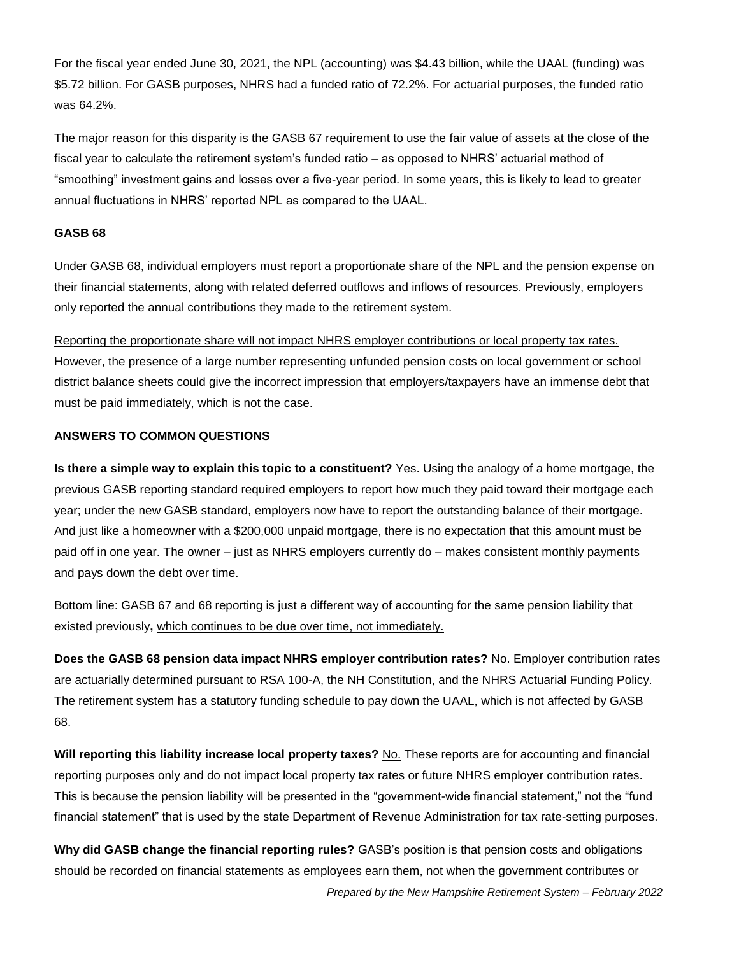For the fiscal year ended June 30, 2021, the NPL (accounting) was \$4.43 billion, while the UAAL (funding) was \$5.72 billion. For GASB purposes, NHRS had a funded ratio of 72.2%. For actuarial purposes, the funded ratio was 64.2%.

The major reason for this disparity is the GASB 67 requirement to use the fair value of assets at the close of the fiscal year to calculate the retirement system's funded ratio – as opposed to NHRS' actuarial method of "smoothing" investment gains and losses over a five-year period. In some years, this is likely to lead to greater annual fluctuations in NHRS' reported NPL as compared to the UAAL.

#### **GASB 68**

Under GASB 68, individual employers must report a proportionate share of the NPL and the pension expense on their financial statements, along with related deferred outflows and inflows of resources. Previously, employers only reported the annual contributions they made to the retirement system.

Reporting the proportionate share will not impact NHRS employer contributions or local property tax rates. However, the presence of a large number representing unfunded pension costs on local government or school district balance sheets could give the incorrect impression that employers/taxpayers have an immense debt that must be paid immediately, which is not the case.

## **ANSWERS TO COMMON QUESTIONS**

**Is there a simple way to explain this topic to a constituent?** Yes. Using the analogy of a home mortgage, the previous GASB reporting standard required employers to report how much they paid toward their mortgage each year; under the new GASB standard, employers now have to report the outstanding balance of their mortgage. And just like a homeowner with a \$200,000 unpaid mortgage, there is no expectation that this amount must be paid off in one year. The owner – just as NHRS employers currently do – makes consistent monthly payments and pays down the debt over time.

Bottom line: GASB 67 and 68 reporting is just a different way of accounting for the same pension liability that existed previously**,** which continues to be due over time, not immediately.

**Does the GASB 68 pension data impact NHRS employer contribution rates?** No. Employer contribution rates are actuarially determined pursuant to RSA 100-A, the NH Constitution, and the NHRS Actuarial Funding Policy. The retirement system has a statutory funding schedule to pay down the UAAL, which is not affected by GASB 68.

**Will reporting this liability increase local property taxes?** No. These reports are for accounting and financial reporting purposes only and do not impact local property tax rates or future NHRS employer contribution rates. This is because the pension liability will be presented in the "government-wide financial statement," not the "fund financial statement" that is used by the state Department of Revenue Administration for tax rate-setting purposes.

**Why did GASB change the financial reporting rules?** GASB's position is that pension costs and obligations should be recorded on financial statements as employees earn them, not when the government contributes or